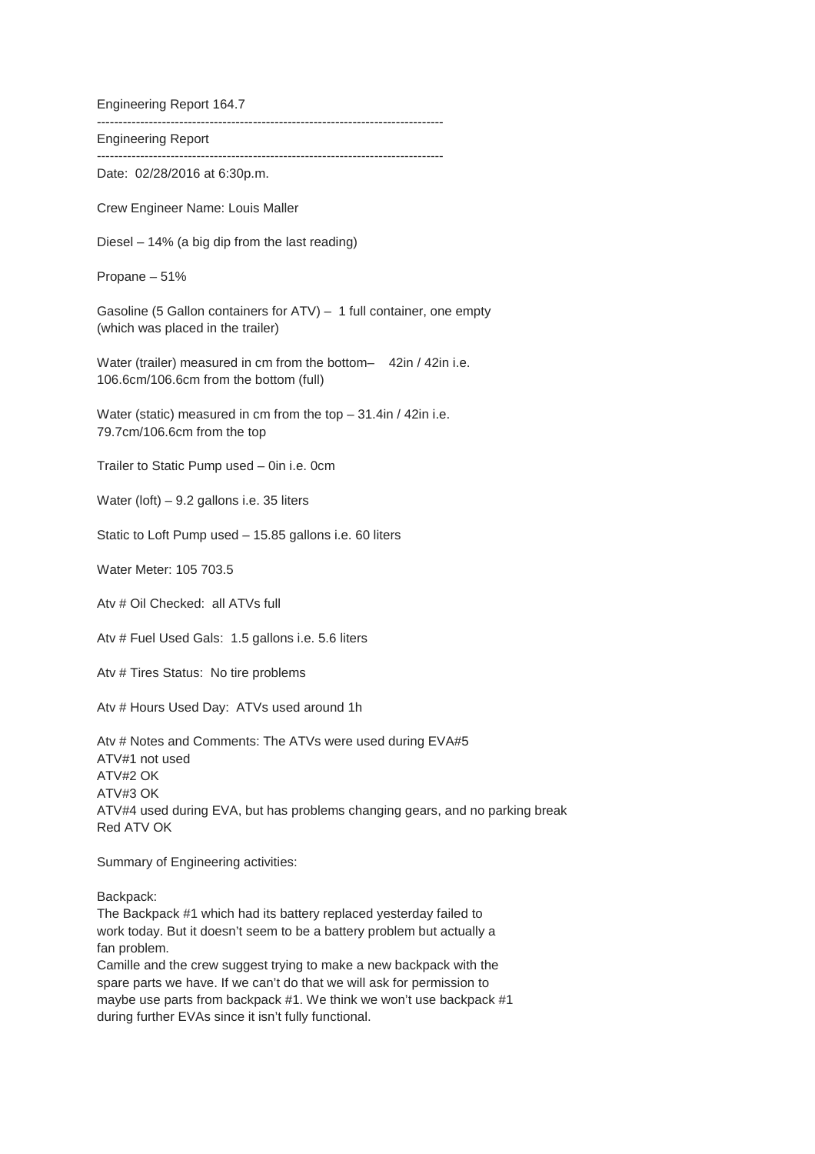Engineering Report 164.7 -------------------------------------------------------------------------------- Engineering Report -------------------------------------------------------------------------------- Date: 02/28/2016 at 6:30p.m. Crew Engineer Name: Louis Maller Diesel – 14% (a big dip from the last reading) Propane – 51% Gasoline (5 Gallon containers for ATV) – 1 full container, one empty (which was placed in the trailer) Water (trailer) measured in cm from the bottom- 42in / 42in i.e. 106.6cm/106.6cm from the bottom (full) Water (static) measured in cm from the top – 31.4in / 42in i.e. 79.7cm/106.6cm from the top Trailer to Static Pump used – 0in i.e. 0cm Water (loft) – 9.2 gallons i.e. 35 liters Static to Loft Pump used – 15.85 gallons i.e. 60 liters Water Meter: 105 703.5 Atv # Oil Checked: all ATVs full Atv # Fuel Used Gals: 1.5 gallons i.e. 5.6 liters Atv # Tires Status: No tire problems Atv # Hours Used Day: ATVs used around 1h Atv # Notes and Comments: The ATVs were used during EVA#5 ATV#1 not used ATV#2 OK ATV#3 OK ATV#4 used during EVA, but has problems changing gears, and no parking break Red ATV OK Summary of Engineering activities: Backpack: The Backpack #1 which had its battery replaced yesterday failed to work today. But it doesn't seem to be a battery problem but actually a

fan problem. Camille and the crew suggest trying to make a new backpack with the spare parts we have. If we can't do that we will ask for permission to maybe use parts from backpack #1. We think we won't use backpack #1 during further EVAs since it isn't fully functional.